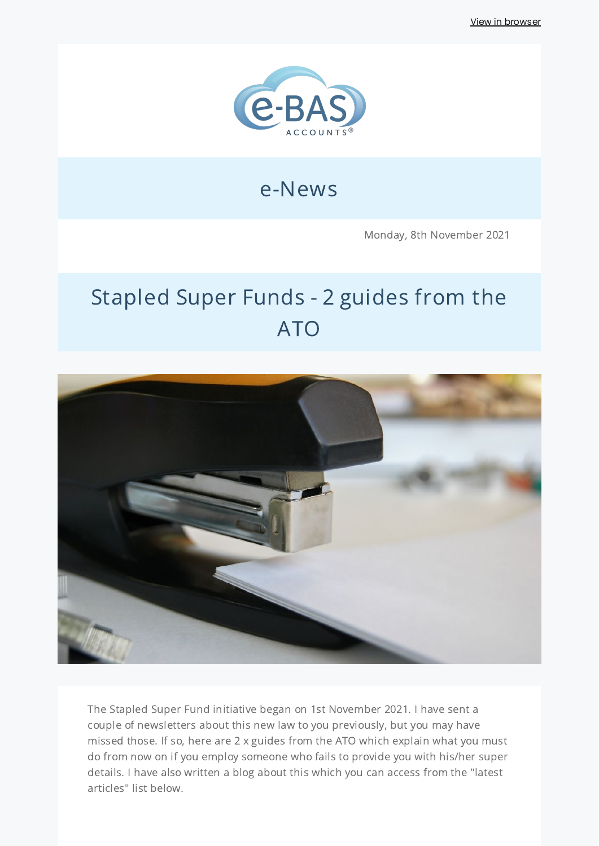View in [browser](http://localhost:3000/decode_hex/68747470733a2f2f707265766965772e6d61696c65726c6974652e636f6d2f6c3479347633)



# e-News

Monday, 8th November 2021

# Stapled Super Funds - 2 guides from the ATO



The Stapled Super Fund initiative began on 1st November 2021. I have sent a couple of newsletters about this new law to you previously, but you may have missed those. If so, here are 2 x guides from the ATO which explain what you must do from now on if you employ someone who fails to provide you with his/her super details. I have also written a blog about this which you can access from the "latest articles" list below.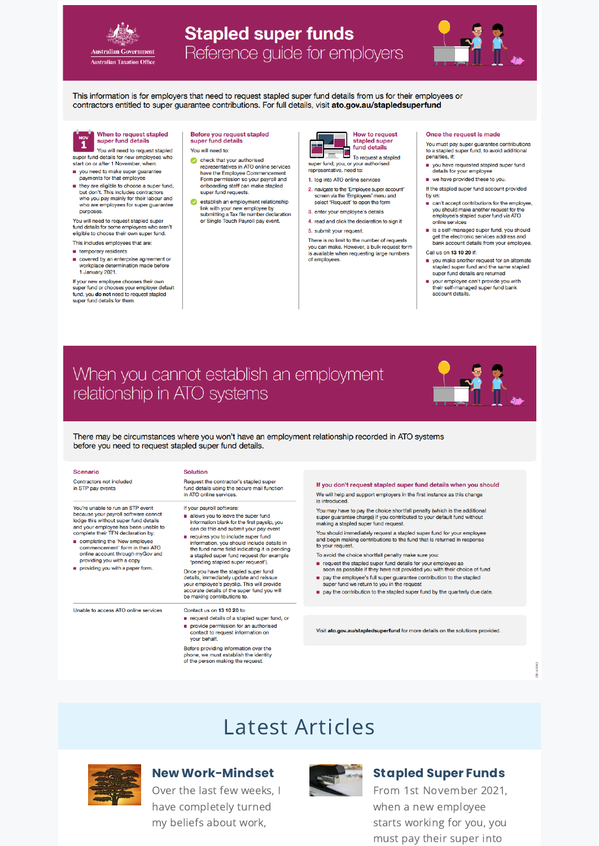

## **Stapled super funds** Reference guide for employers



This information is for employers that need to request stapled super fund details from us for their employees or contractors entitled to super guarantee contributions. For full details, visit ato.gov.au/stapledsuperfund



#### When to request stapled super fund details

You will need to request stapled super fund details for new employees who<br>start on or after 1 November, when:

- you need to make super guarantee payments for that employee
- they are eligible to choose a super fund,<br>but don't. This includes contractors who you pay mainly for their labour and who are employees for super guarantee purposes.

You will need to request stapled super fund details for some employees who aren't eligible to choose their own super fund. This includes employees that are:

- $\blacksquare$  temporary residents
- covered by an enterprise agreement or workplace determination made before 1 January 2021.

If your new employee chooses their own<br>super fund or chooses your employer default<br>fund, you do not need to request stapled super fund details for them.

Before you request stapled<br>super fund details

- You will need to:
- check that your authorised representatives in ATO online services have the Employee Commencement Form permission so your payroll and onboarding staff can make stapled<br>super fund requests.
- establish an employment relationship Exercises in an employment relationship<br>link with your new employee by<br>submitting a Tax file number declaration<br>or Single Touch Payroll pay event.

|  | <b>How to request</b><br>stapled super<br>fund details |
|--|--------------------------------------------------------|
|  |                                                        |

To request a stapled<br>super fund, you, or your authorised<br>representative acceptors representative, need to:

- 1. log into ATO online services
- 2. navigate to the 'Employee super account' screen via the 'Employees' menu and select 'Request' to open the form
- 3. enter your employee's details 4. read and click the declaration to sign it
- 5. submit your request.

There is no limit to the number of requests vou can make. However, a bulk request form is available when requesting large numbers<br>of employees.

#### Once the request is made

You must pay super guarantee contributions to a stapled super fund, to avoid additional penalties, if:

- vou have requested stapled super fund details for your employee we have provided these to you.
- If the stapled super fund account provided
- by us: can't accept contributions for the employee, you should make another request for the employee's stapled super fund via ATO
- online services is a self-managed super fund, you should get the electronic services address and<br>bank account details from your employee.
- Call us on 13 10 20 if:
- you make another request for an alternate stapled super fund and the same stapled super fund details are returned
- your employee can't provide you with<br>their self-managed super fund bank<br>account details.

# When you cannot establish an employment relationship in ATO systems



There may be circumstances where you won't have an employment relationship recorded in ATO systems before you need to request stapled super fund details.

| <b>Scenario</b><br>Contractors not included<br>in STP pay events<br>You're unable to run an STP event<br>because your payroll software cannot<br>lodge this without super fund details<br>and your employee has been unable to<br>complete their TFN declaration by:<br>completing the 'New employee<br>commencement' form in their ATO<br>online account through myGov and<br>providing you with a copy<br>providing you with a paper form. | <b>Solution</b><br>Request the contractor's stapled super<br>fund details using the secure mail function<br>in ATO online services.<br>If your payroll software:<br>allows you to leave the super fund<br>information blank for the first payslip, you<br>can do this and submit your pay event<br>requires you to include super fund<br>information, you should include details in<br>the fund name field indicating it is pending<br>a stapled super fund request (for example<br>'pending stapled super request').<br>Once you have the stapled super fund<br>details, immediately update and reissue<br>your employee's payslip. This will provide | If you don't request stapled super fund details when you should<br>We will help and support employers in the first instance as this change<br>is introduced.<br>You may have to pay the choice shortfall penalty (which is the additional<br>super guarantee charge) if you contributed to your default fund without<br>making a stapled super fund request.<br>You should immediately request a stapled super fund for your employee<br>and begin making contributions to the fund that is returned in response<br>to your request.<br>To avoid the choice shortfall penalty make sure you:<br>request the stapled super fund details for your employee as<br>soon as possible if they have not provided you with their choice of fund<br>pay the employee's full super quarantee contribution to the stapled<br>super fund we return to you in the request |
|----------------------------------------------------------------------------------------------------------------------------------------------------------------------------------------------------------------------------------------------------------------------------------------------------------------------------------------------------------------------------------------------------------------------------------------------|--------------------------------------------------------------------------------------------------------------------------------------------------------------------------------------------------------------------------------------------------------------------------------------------------------------------------------------------------------------------------------------------------------------------------------------------------------------------------------------------------------------------------------------------------------------------------------------------------------------------------------------------------------|--------------------------------------------------------------------------------------------------------------------------------------------------------------------------------------------------------------------------------------------------------------------------------------------------------------------------------------------------------------------------------------------------------------------------------------------------------------------------------------------------------------------------------------------------------------------------------------------------------------------------------------------------------------------------------------------------------------------------------------------------------------------------------------------------------------------------------------------------------------|
| Unable to access ATO online services                                                                                                                                                                                                                                                                                                                                                                                                         | accurate details of the super fund you will<br>be making contributions to.<br>Contact us on 13 10 20 to:                                                                                                                                                                                                                                                                                                                                                                                                                                                                                                                                               | pay the contribution to the stapled super fund by the quarterly due date.                                                                                                                                                                                                                                                                                                                                                                                                                                                                                                                                                                                                                                                                                                                                                                                    |
|                                                                                                                                                                                                                                                                                                                                                                                                                                              | request details of a stapled super fund, or                                                                                                                                                                                                                                                                                                                                                                                                                                                                                                                                                                                                            |                                                                                                                                                                                                                                                                                                                                                                                                                                                                                                                                                                                                                                                                                                                                                                                                                                                              |
|                                                                                                                                                                                                                                                                                                                                                                                                                                              | provide permission for an authorised<br>contact to request information on<br>vour behalf.                                                                                                                                                                                                                                                                                                                                                                                                                                                                                                                                                              | Visit ato.gov.au/stapledsuperfund for more details on the solutions provided.                                                                                                                                                                                                                                                                                                                                                                                                                                                                                                                                                                                                                                                                                                                                                                                |
|                                                                                                                                                                                                                                                                                                                                                                                                                                              | Before providing information over the<br>phone, we must establish the identity                                                                                                                                                                                                                                                                                                                                                                                                                                                                                                                                                                         |                                                                                                                                                                                                                                                                                                                                                                                                                                                                                                                                                                                                                                                                                                                                                                                                                                                              |

# Latest Articles



#### **New Work-Mindset**

of the person making the request

Over the last few weeks, I have completely turned my beliefs about work,



### **Stapled Super Funds**

From 1st November 2021, when a new employee starts working for you, you must pay their super into